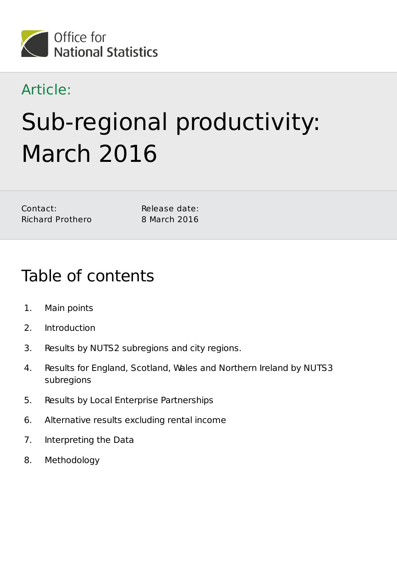

### Article:

# Sub-regional productivity: March 2016

| Contact: |                         |
|----------|-------------------------|
|          | <b>Richard Prothero</b> |

Release date: 8 March 2016

# Table of contents

- 1. Main points
- 2. Introduction
- 3. Results by NUTS2 subregions and city regions.
- 4. Results for England, Scotland, Wales and Northern Ireland by NUTS3 subregions
- 5. Results by Local Enterprise Partnerships
- 6. Alternative results excluding rental income
- 7. Interpreting the Data
- 8. Methodology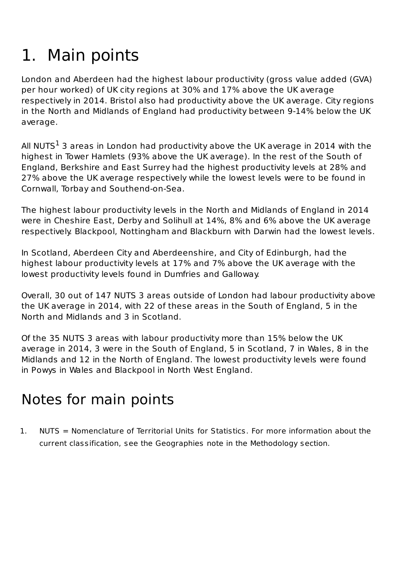# 1. Main points

London and Aberdeen had the highest labour productivity (gross value added (GVA) per hour worked) of UK city regions at 30% and 17% above the UK average respectively in 2014. Bristol also had productivity above the UK average. City regions in the North and Midlands of England had productivity between 9-14% below the UK average.

All NUTS $^1$  3 areas in London had productivity above the UK average in 2014 with the highest in Tower Hamlets (93% above the UK average). In the rest of the South of England, Berkshire and East Surrey had the highest productivity levels at 28% and 27% above the UK average respectively while the lowest levels were to be found in Cornwall, Torbay and Southend-on-Sea.

The highest labour productivity levels in the North and Midlands of England in 2014 were in Cheshire East, Derby and Solihull at 14%, 8% and 6% above the UK average respectively. Blackpool, Nottingham and Blackburn with Darwin had the lowest levels.

In Scotland, Aberdeen City and Aberdeenshire, and City of Edinburgh, had the highest labour productivity levels at 17% and 7% above the UK average with the lowest productivity levels found in Dumfries and Galloway.

Overall, 30 out of 147 NUTS 3 areas outside of London had labour productivity above the UK average in 2014, with 22 of these areas in the South of England, 5 in the North and Midlands and 3 in Scotland.

Of the 35 NUTS 3 areas with labour productivity more than 15% below the UK average in 2014, 3 were in the South of England, 5 in Scotland, 7 in Wales, 8 in the Midlands and 12 in the North of England. The lowest productivity levels were found in Powys in Wales and Blackpool in North West England.

# Notes for main points

1. NUTS = Nomenclature of Territorial Units for Statistics. For more information about the current classification, see the Geographies note in the Methodology section.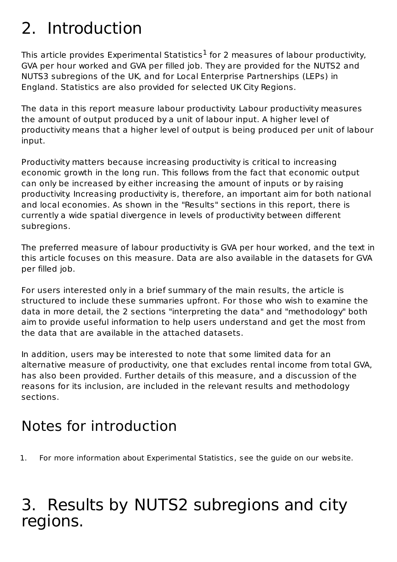# 2. Introduction

This article provides Experimental Statistics $^1$  for 2 measures of labour productivity, GVA per hour worked and GVA per filled job. They are provided for the NUTS2 and NUTS3 subregions of the UK, and for Local Enterprise Partnerships (LEPs) in England. Statistics are also provided for selected UK City Regions.

The data in this report measure labour productivity. Labour productivity measures the amount of output produced by a unit of labour input. A higher level of productivity means that a higher level of output is being produced per unit of labour input.

Productivity matters because increasing productivity is critical to increasing economic growth in the long run. This follows from the fact that economic output can only be increased by either increasing the amount of inputs or by raising productivity. Increasing productivity is, therefore, an important aim for both national and local economies. As shown in the "Results" sections in this report, there is currently a wide spatial divergence in levels of productivity between different subregions.

The preferred measure of labour productivity is GVA per hour worked, and the text in this article focuses on this measure. Data are also available in the datasets for GVA per filled job.

For users interested only in a brief summary of the main results, the article is structured to include these summaries upfront. For those who wish to examine the data in more detail, the 2 sections "interpreting the data" and "methodology" both aim to provide useful information to help users understand and get the most from the data that are available in the attached datasets.

In addition, users may be interested to note that some limited data for an alternative measure of productivity, one that excludes rental income from total GVA, has also been provided. Further details of this measure, and a discussion of the reasons for its inclusion, are included in the relevant results and methodology sections.

# Notes for introduction

1. For more information about Experimental Statistics, see the guide on our website.

# 3. Results by NUTS2 subregions and city regions.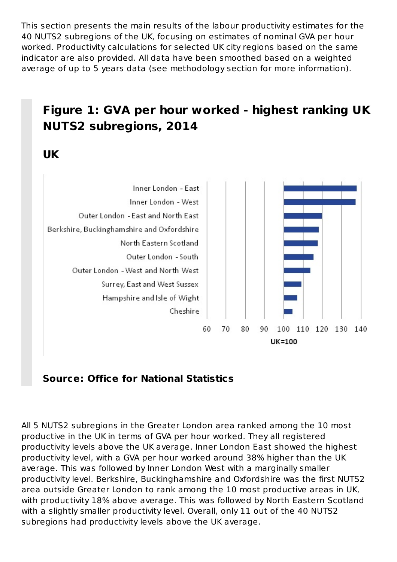This section presents the main results of the labour productivity estimates for the 40 NUTS2 subregions of the UK, focusing on estimates of nominal GVA per hour worked. Productivity calculations for selected UK city regions based on the same indicator are also provided. All data have been smoothed based on a weighted average of up to 5 years data (see methodology section for more information).

#### **Figure 1: GVA per hour worked - highest ranking UK NUTS2 subregions, 2014**

**UK**



**Source: Office for National Statistics**

All 5 NUTS2 subregions in the Greater London area ranked among the 10 most productive in the UK in terms of GVA per hour worked. They all registered productivity levels above the UK average. Inner London East showed the highest productivity level, with a GVA per hour worked around 38% higher than the UK average. This was followed by Inner London West with a marginally smaller productivity level. Berkshire, Buckinghamshire and Oxfordshire was the first NUTS2 area outside Greater London to rank among the 10 most productive areas in UK, with productivity 18% above average. This was followed by North Eastern Scotland with a slightly smaller productivity level. Overall, only 11 out of the 40 NUTS2 subregions had productivity levels above the UK average.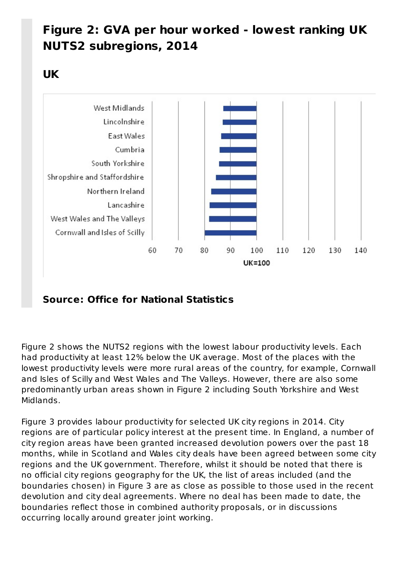#### **Figure 2: GVA per hour worked - lowest ranking UK NUTS2 subregions, 2014**

**UK**



#### **Source: Office for National Statistics**

Figure 2 shows the NUTS2 regions with the lowest labour productivity levels. Each had productivity at least 12% below the UK average. Most of the places with the lowest productivity levels were more rural areas of the country, for example, Cornwall and Isles of Scilly and West Wales and The Valleys. However, there are also some predominantly urban areas shown in Figure 2 including South Yorkshire and West Midlands.

Figure 3 provides labour productivity for selected UK city regions in 2014. City regions are of particular policy interest at the present time. In England, a number of city region areas have been granted increased devolution powers over the past 18 months, while in Scotland and Wales city deals have been agreed between some city regions and the UK government. Therefore, whilst it should be noted that there is no official city regions geography for the UK, the list of areas included (and the boundaries chosen) in Figure 3 are as close as possible to those used in the recent devolution and city deal agreements. Where no deal has been made to date, the boundaries reflect those in combined authority proposals, or in discussions occurring locally around greater joint working.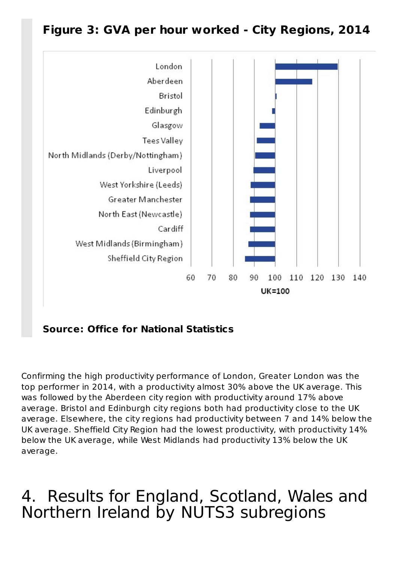#### **Figure 3: GVA per hour worked - City Regions, 2014**



**Source: Office for National Statistics**

Confirming the high productivity performance of London, Greater London was the top performer in 2014, with a productivity almost 30% above the UK average. This was followed by the Aberdeen city region with productivity around 17% above average. Bristol and Edinburgh city regions both had productivity close to the UK average. Elsewhere, the city regions had productivity between 7 and 14% below the UK average. Sheffield City Region had the lowest productivity, with productivity 14% below the UK average, while West Midlands had productivity 13% below the UK average.

# 4. Results for England, Scotland, Wales and Northern Ireland by NUTS3 subregions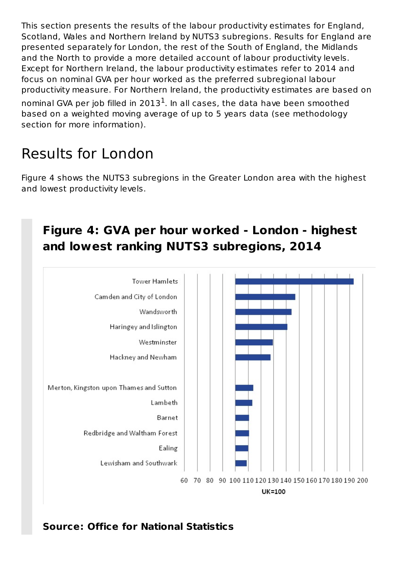This section presents the results of the labour productivity estimates for England, Scotland, Wales and Northern Ireland by NUTS3 subregions. Results for England are presented separately for London, the rest of the South of England, the Midlands and the North to provide a more detailed account of labour productivity levels. Except for Northern Ireland, the labour productivity estimates refer to 2014 and focus on nominal GVA per hour worked as the preferred subregional labour productivity measure. For Northern Ireland, the productivity estimates are based on nominal GVA per job filled in 2013 $^{\tt l}$ . In all cases, the data have been smoothed based on a weighted moving average of up to 5 years data (see methodology section for more information).

# Results for London

Figure 4 shows the NUTS3 subregions in the Greater London area with the highest and lowest productivity levels.

#### **Figure 4: GVA per hour worked - London - highest and lowest ranking NUTS3 subregions, 2014**

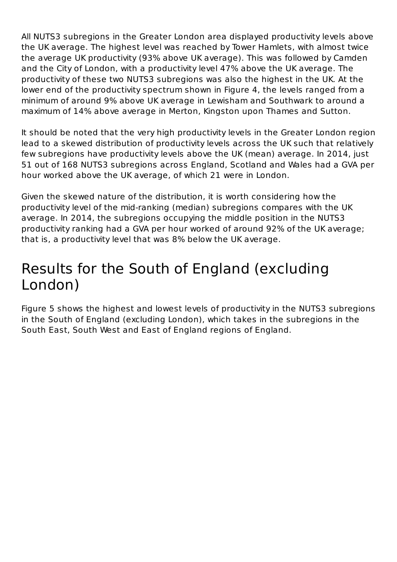All NUTS3 subregions in the Greater London area displayed productivity levels above the UK average. The highest level was reached by Tower Hamlets, with almost twice the average UK productivity (93% above UK average). This was followed by Camden and the City of London, with a productivity level 47% above the UK average. The productivity of these two NUTS3 subregions was also the highest in the UK. At the lower end of the productivity spectrum shown in Figure 4, the levels ranged from a minimum of around 9% above UK average in Lewisham and Southwark to around a maximum of 14% above average in Merton, Kingston upon Thames and Sutton.

It should be noted that the very high productivity levels in the Greater London region lead to a skewed distribution of productivity levels across the UK such that relatively few subregions have productivity levels above the UK (mean) average. In 2014, just 51 out of 168 NUTS3 subregions across England, Scotland and Wales had a GVA per hour worked above the UK average, of which 21 were in London.

Given the skewed nature of the distribution, it is worth considering how the productivity level of the mid-ranking (median) subregions compares with the UK average. In 2014, the subregions occupying the middle position in the NUTS3 productivity ranking had a GVA per hour worked of around 92% of the UK average; that is, a productivity level that was 8% below the UK average.

### Results for the South of England (excluding London)

Figure 5 shows the highest and lowest levels of productivity in the NUTS3 subregions in the South of England (excluding London), which takes in the subregions in the South East, South West and East of England regions of England.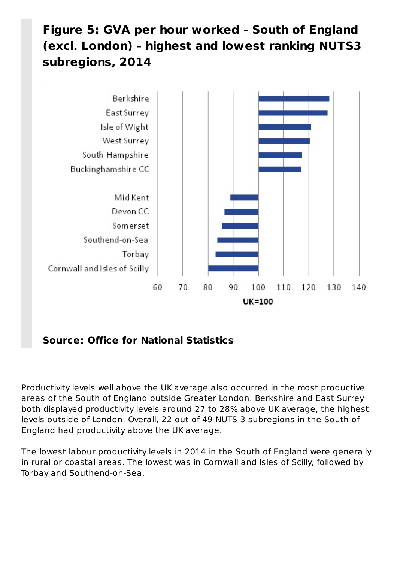#### **Figure 5: GVA per hour worked - South of England (excl. London) - highest and lowest ranking NUTS3 subregions, 2014**



**Source: Office for National Statistics**

Productivity levels well above the UK average also occurred in the most productive areas of the South of England outside Greater London. Berkshire and East Surrey both displayed productivity levels around 27 to 28% above UK average, the highest levels outside of London. Overall, 22 out of 49 NUTS 3 subregions in the South of England had productivity above the UK average.

The lowest labour productivity levels in 2014 in the South of England were generally in rural or coastal areas. The lowest was in Cornwall and Isles of Scilly, followed by Torbay and Southend-on-Sea.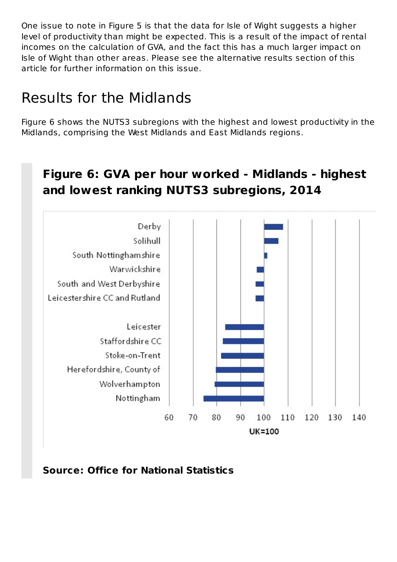One issue to note in Figure 5 is that the data for Isle of Wight suggests a higher level of productivity than might be expected. This is a result of the impact of rental incomes on the calculation of GVA, and the fact this has a much larger impact on Isle of Wight than other areas. Please see the alternative results section of this article for further information on this issue.

### Results for the Midlands

Figure 6 shows the NUTS3 subregions with the highest and lowest productivity in the Midlands, comprising the West Midlands and East Midlands regions.

#### **Figure 6: GVA per hour worked - Midlands - highest and lowest ranking NUTS3 subregions, 2014**



**Source: Office for National Statistics**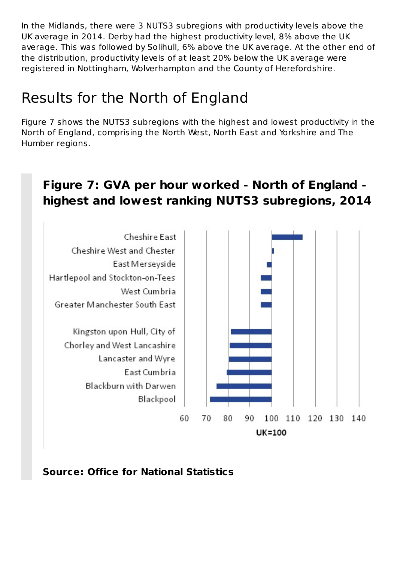In the Midlands, there were 3 NUTS3 subregions with productivity levels above the UK average in 2014. Derby had the highest productivity level, 8% above the UK average. This was followed by Solihull, 6% above the UK average. At the other end of the distribution, productivity levels of at least 20% below the UK average were registered in Nottingham, Wolverhampton and the County of Herefordshire.

### Results for the North of England

Figure 7 shows the NUTS3 subregions with the highest and lowest productivity in the North of England, comprising the North West, North East and Yorkshire and The Humber regions.

#### **Figure 7: GVA per hour worked - North of England highest and lowest ranking NUTS3 subregions, 2014**



**Source: Office for National Statistics**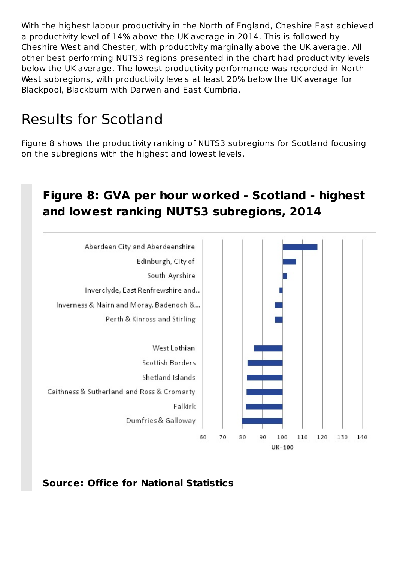With the highest labour productivity in the North of England, Cheshire East achieved a productivity level of 14% above the UK average in 2014. This is followed by Cheshire West and Chester, with productivity marginally above the UK average. All other best performing NUTS3 regions presented in the chart had productivity levels below the UK average. The lowest productivity performance was recorded in North West subregions, with productivity levels at least 20% below the UK average for Blackpool, Blackburn with Darwen and East Cumbria.

### Results for Scotland

Figure 8 shows the productivity ranking of NUTS3 subregions for Scotland focusing on the subregions with the highest and lowest levels.

#### **Figure 8: GVA per hour worked - Scotland - highest and lowest ranking NUTS3 subregions, 2014**



**Source: Office for National Statistics**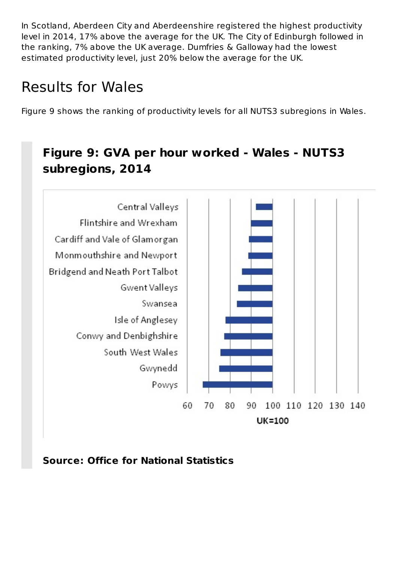In Scotland, Aberdeen City and Aberdeenshire registered the highest productivity level in 2014, 17% above the average for the UK. The City of Edinburgh followed in the ranking, 7% above the UK average. Dumfries & Galloway had the lowest estimated productivity level, just 20% below the average for the UK.

# Results for Wales

Figure 9 shows the ranking of productivity levels for all NUTS3 subregions in Wales.

#### **Figure 9: GVA per hour worked - Wales - NUTS3 subregions, 2014**



**Source: Office for National Statistics**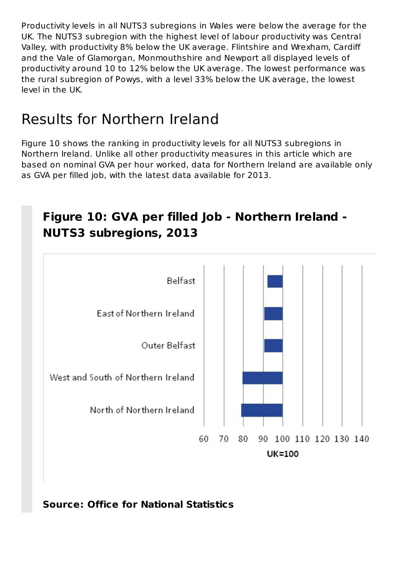Productivity levels in all NUTS3 subregions in Wales were below the average for the UK. The NUTS3 subregion with the highest level of labour productivity was Central Valley, with productivity 8% below the UK average. Flintshire and Wrexham, Cardiff and the Vale of Glamorgan, Monmouthshire and Newport all displayed levels of productivity around 10 to 12% below the UK average. The lowest performance was the rural subregion of Powys, with a level 33% below the UK average, the lowest level in the UK.

# Results for Northern Ireland

Figure 10 shows the ranking in productivity levels for all NUTS3 subregions in Northern Ireland. Unlike all other productivity measures in this article which are based on nominal GVA per hour worked, data for Northern Ireland are available only as GVA per filled job, with the latest data available for 2013.

# **Figure 10: GVA per filled Job - Northern Ireland - NUTS3 subregions, 2013 Belfast Fast of Northern Ireland** Outer Belfast West and South of Northern Ireland North of Northern Ireland 60 70 80 90 100 110 120 130 140 UK=100

**Source: Office for National Statistics**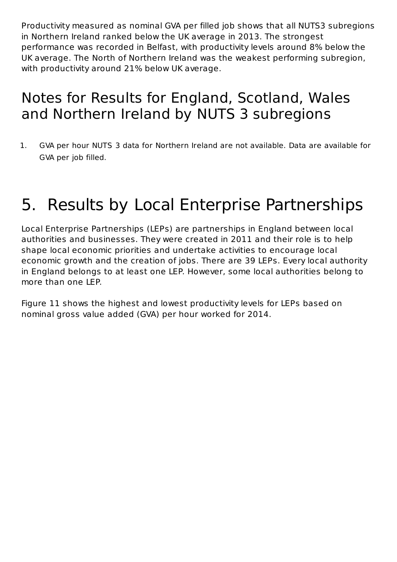Productivity measured as nominal GVA per filled job shows that all NUTS3 subregions in Northern Ireland ranked below the UK average in 2013. The strongest performance was recorded in Belfast, with productivity levels around 8% below the UK average. The North of Northern Ireland was the weakest performing subregion, with productivity around 21% below UK average.

### Notes for Results for England, Scotland, Wales and Northern Ireland by NUTS 3 subregions

1. GVA per hour NUTS 3 data for Northern Ireland are not available. Data are available for GVA per job filled.

# 5. Results by Local Enterprise Partnerships

Local Enterprise Partnerships (LEPs) are partnerships in England between local authorities and businesses. They were created in 2011 and their role is to help shape local economic priorities and undertake activities to encourage local economic growth and the creation of jobs. There are 39 LEPs. Every local authority in England belongs to at least one LEP. However, some local authorities belong to more than one LEP.

Figure 11 shows the highest and lowest productivity levels for LEPs based on nominal gross value added (GVA) per hour worked for 2014.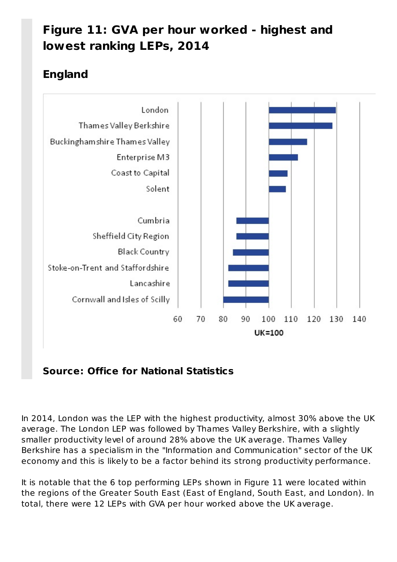#### **Figure 11: GVA per hour worked - highest and lowest ranking LEPs, 2014**

#### **England**



#### **Source: Office for National Statistics**

In 2014, London was the LEP with the highest productivity, almost 30% above the UK average. The London LEP was followed by Thames Valley Berkshire, with a slightly smaller productivity level of around 28% above the UK average. Thames Valley Berkshire has a specialism in the "Information and Communication" sector of the UK economy and this is likely to be a factor behind its strong productivity performance.

It is notable that the 6 top performing LEPs shown in Figure 11 were located within the regions of the Greater South East (East of England, South East, and London). In total, there were 12 LEPs with GVA per hour worked above the UK average.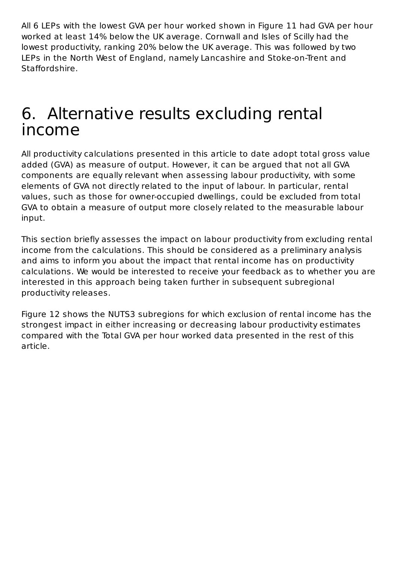All 6 LEPs with the lowest GVA per hour worked shown in Figure 11 had GVA per hour worked at least 14% below the UK average. Cornwall and Isles of Scilly had the lowest productivity, ranking 20% below the UK average. This was followed by two LEPs in the North West of England, namely Lancashire and Stoke-on-Trent and Staffordshire.

# Alternative results excluding rental 6.income

All productivity calculations presented in this article to date adopt total gross value added (GVA) as measure of output. However, it can be argued that not all GVA components are equally relevant when assessing labour productivity, with some elements of GVA not directly related to the input of labour. In particular, rental values, such as those for owner-occupied dwellings, could be excluded from total GVA to obtain a measure of output more closely related to the measurable labour input.

This section briefly assesses the impact on labour productivity from excluding rental income from the calculations. This should be considered as a preliminary analysis and aims to inform you about the impact that rental income has on productivity calculations. We would be interested to receive your feedback as to whether you are interested in this approach being taken further in subsequent subregional productivity releases.

Figure 12 shows the NUTS3 subregions for which exclusion of rental income has the strongest impact in either increasing or decreasing labour productivity estimates compared with the Total GVA per hour worked data presented in the rest of this article.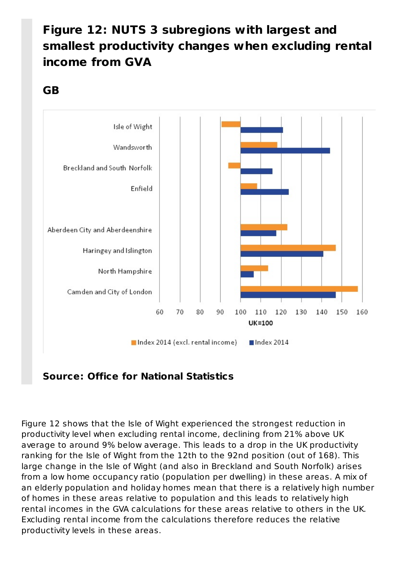#### **Figure 12: NUTS 3 subregions with largest and smallest productivity changes when excluding rental income from GVA**

#### **GB**



**Source: Office for National Statistics**

Figure 12 shows that the Isle of Wight experienced the strongest reduction in productivity level when excluding rental income, declining from 21% above UK average to around 9% below average. This leads to a drop in the UK productivity ranking for the Isle of Wight from the 12th to the 92nd position (out of 168). This large change in the Isle of Wight (and also in Breckland and South Norfolk) arises from a low home occupancy ratio (population per dwelling) in these areas. A mix of an elderly population and holiday homes mean that there is a relatively high number of homes in these areas relative to population and this leads to relatively high rental incomes in the GVA calculations for these areas relative to others in the UK. Excluding rental income from the calculations therefore reduces the relative productivity levels in these areas.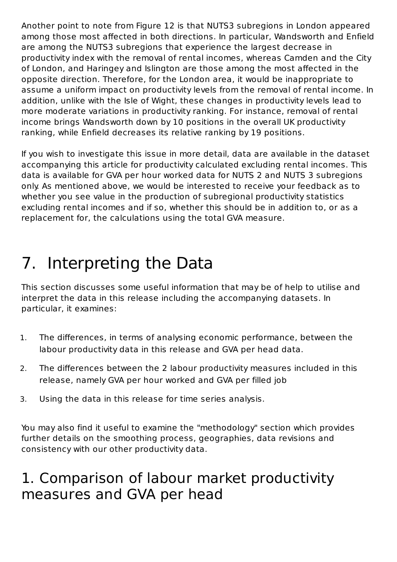Another point to note from Figure 12 is that NUTS3 subregions in London appeared among those most affected in both directions. In particular, Wandsworth and Enfield are among the NUTS3 subregions that experience the largest decrease in productivity index with the removal of rental incomes, whereas Camden and the City of London, and Haringey and Islington are those among the most affected in the opposite direction. Therefore, for the London area, it would be inappropriate to assume a uniform impact on productivity levels from the removal of rental income. In addition, unlike with the Isle of Wight, these changes in productivity levels lead to more moderate variations in productivity ranking. For instance, removal of rental income brings Wandsworth down by 10 positions in the overall UK productivity ranking, while Enfield decreases its relative ranking by 19 positions.

If you wish to investigate this issue in more detail, data are available in the dataset accompanying this article for productivity calculated excluding rental incomes. This data is available for GVA per hour worked data for NUTS 2 and NUTS 3 subregions only. As mentioned above, we would be interested to receive your feedback as to whether you see value in the production of subregional productivity statistics excluding rental incomes and if so, whether this should be in addition to, or as a replacement for, the calculations using the total GVA measure.

# 7. Interpreting the Data

This section discusses some useful information that may be of help to utilise and interpret the data in this release including the accompanying datasets. In particular, it examines:

- 1. The differences, in terms of analysing economic performance, between the labour productivity data in this release and GVA per head data.
- 2. The differences between the 2 labour productivity measures included in this release, namely GVA per hour worked and GVA per filled job
- 3. Using the data in this release for time series analysis.

You may also find it useful to examine the "methodology" section which provides further details on the smoothing process, geographies, data revisions and consistency with our other productivity data.

### 1. Comparison of labour market productivity measures and GVA per head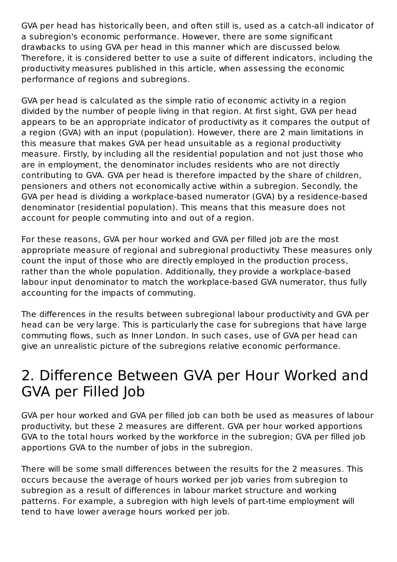GVA per head has historically been, and often still is, used as a catch-all indicator of a subregion's economic performance. However, there are some significant drawbacks to using GVA per head in this manner which are discussed below. Therefore, it is considered better to use a suite of different indicators, including the productivity measures published in this article, when assessing the economic performance of regions and subregions.

GVA per head is calculated as the simple ratio of economic activity in a region divided by the number of people living in that region. At first sight, GVA per head appears to be an appropriate indicator of productivity as it compares the output of a region (GVA) with an input (population). However, there are 2 main limitations in this measure that makes GVA per head unsuitable as a regional productivity measure. Firstly, by including all the residential population and not just those who are in employment, the denominator includes residents who are not directly contributing to GVA. GVA per head is therefore impacted by the share of children, pensioners and others not economically active within a subregion. Secondly, the GVA per head is dividing a workplace-based numerator (GVA) by a residence-based denominator (residential population). This means that this measure does not account for people commuting into and out of a region.

For these reasons, GVA per hour worked and GVA per filled job are the most appropriate measure of regional and subregional productivity. These measures only count the input of those who are directly employed in the production process, rather than the whole population. Additionally, they provide a workplace-based labour input denominator to match the workplace-based GVA numerator, thus fully accounting for the impacts of commuting.

The differences in the results between subregional labour productivity and GVA per head can be very large. This is particularly the case for subregions that have large commuting flows, such as Inner London. In such cases, use of GVA per head can give an unrealistic picture of the subregions relative economic performance.

### 2. Difference Between GVA per Hour Worked and GVA per Filled Job

GVA per hour worked and GVA per filled job can both be used as measures of labour productivity, but these 2 measures are different. GVA per hour worked apportions GVA to the total hours worked by the workforce in the subregion; GVA per filled job apportions GVA to the number of jobs in the subregion.

There will be some small differences between the results for the 2 measures. This occurs because the average of hours worked per job varies from subregion to subregion as a result of differences in labour market structure and working patterns. For example, a subregion with high levels of part-time employment will tend to have lower average hours worked per job.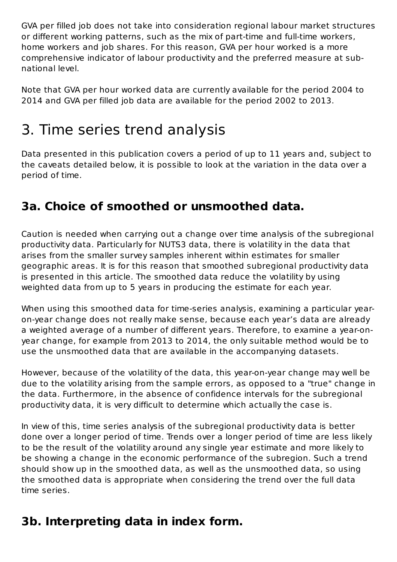GVA per filled job does not take into consideration regional labour market structures or different working patterns, such as the mix of part-time and full-time workers, home workers and job shares. For this reason, GVA per hour worked is a more comprehensive indicator of labour productivity and the preferred measure at subnational level.

Note that GVA per hour worked data are currently available for the period 2004 to 2014 and GVA per filled job data are available for the period 2002 to 2013.

# 3. Time series trend analysis

Data presented in this publication covers a period of up to 11 years and, subject to the caveats detailed below, it is possible to look at the variation in the data over a period of time.

#### **3a. Choice of smoothed or unsmoothed data.**

Caution is needed when carrying out a change over time analysis of the subregional productivity data. Particularly for NUTS3 data, there is volatility in the data that arises from the smaller survey samples inherent within estimates for smaller geographic areas. It is for this reason that smoothed subregional productivity data is presented in this article. The smoothed data reduce the volatility by using weighted data from up to 5 years in producing the estimate for each year.

When using this smoothed data for time-series analysis, examining a particular yearon-year change does not really make sense, because each year's data are already a weighted average of a number of different years. Therefore, to examine a year-onyear change, for example from 2013 to 2014, the only suitable method would be to use the unsmoothed data that are available in the accompanying datasets.

However, because of the volatility of the data, this year-on-year change may well be due to the volatility arising from the sample errors, as opposed to a "true" change in the data. Furthermore, in the absence of confidence intervals for the subregional productivity data, it is very difficult to determine which actually the case is.

In view of this, time series analysis of the subregional productivity data is better done over a longer period of time. Trends over a longer period of time are less likely to be the result of the volatility around any single year estimate and more likely to be showing a change in the economic performance of the subregion. Such a trend should show up in the smoothed data, as well as the unsmoothed data, so using the smoothed data is appropriate when considering the trend over the full data time series.

#### **3b. Interpreting data in index form.**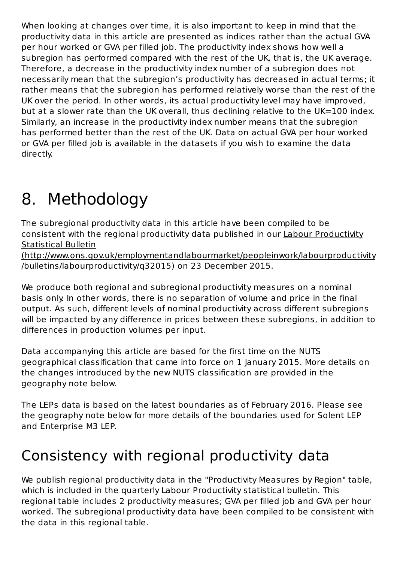When looking at changes over time, it is also important to keep in mind that the productivity data in this article are presented as indices rather than the actual GVA per hour worked or GVA per filled job. The productivity index shows how well a subregion has performed compared with the rest of the UK, that is, the UK average. Therefore, a decrease in the productivity index number of a subregion does not necessarily mean that the subregion's productivity has decreased in actual terms; it rather means that the subregion has performed relatively worse than the rest of the UK over the period. In other words, its actual productivity level may have improved, but at a slower rate than the UK overall, thus declining relative to the UK=100 index. Similarly, an increase in the productivity index number means that the subregion has performed better than the rest of the UK. Data on actual GVA per hour worked or GVA per filled job is available in the datasets if you wish to examine the data directly.

# 8. Methodology

The subregional productivity data in this article have been compiled to be consistent with the regional productivity data published in our Labour Productivity Statistical Bulletin

(http://www.ons.gov.uk/employmentandlabourmarket/peopleinwork/labourproductivity /bulletins/labourproductivity/q32015) on 23 December 2015.

We produce both regional and subregional productivity measures on a nominal basis only. In other words, there is no separation of volume and price in the final output. As such, different levels of nominal productivity across different subregions will be impacted by any difference in prices between these subregions, in addition to differences in production volumes per input.

Data accompanying this article are based for the first time on the NUTS geographical classification that came into force on 1 January 2015. More details on the changes introduced by the new NUTS classification are provided in the geography note below.

The LEPs data is based on the latest boundaries as of February 2016. Please see the geography note below for more details of the boundaries used for Solent LEP and Enterprise M3 LEP.

# Consistency with regional productivity data

We publish regional productivity data in the "Productivity Measures by Region" table, which is included in the quarterly Labour Productivity statistical bulletin. This regional table includes 2 productivity measures; GVA per filled job and GVA per hour worked. The subregional productivity data have been compiled to be consistent with the data in this regional table.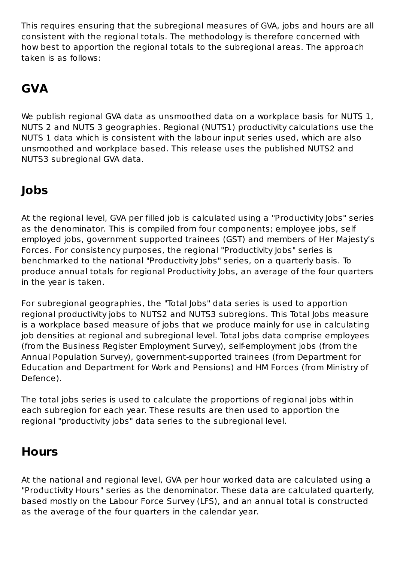This requires ensuring that the subregional measures of GVA, jobs and hours are all consistent with the regional totals. The methodology is therefore concerned with how best to apportion the regional totals to the subregional areas. The approach taken is as follows:

#### **GVA**

We publish regional GVA data as unsmoothed data on a workplace basis for NUTS 1, NUTS 2 and NUTS 3 geographies. Regional (NUTS1) productivity calculations use the NUTS 1 data which is consistent with the labour input series used, which are also unsmoothed and workplace based. This release uses the published NUTS2 and NUTS3 subregional GVA data.

#### **Jobs**

At the regional level, GVA per filled job is calculated using a "Productivity Jobs" series as the denominator. This is compiled from four components; employee jobs, self employed jobs, government supported trainees (GST) and members of Her Majesty's Forces. For consistency purposes, the regional "Productivity Jobs" series is benchmarked to the national "Productivity Jobs" series, on a quarterly basis. To produce annual totals for regional Productivity Jobs, an average of the four quarters in the year is taken.

For subregional geographies, the "Total Jobs" data series is used to apportion regional productivity jobs to NUTS2 and NUTS3 subregions. This Total Jobs measure is a workplace based measure of jobs that we produce mainly for use in calculating job densities at regional and subregional level. Total jobs data comprise employees (from the Business Register Employment Survey), self-employment jobs (from the Annual Population Survey), government-supported trainees (from Department for Education and Department for Work and Pensions) and HM Forces (from Ministry of Defence).

The total jobs series is used to calculate the proportions of regional jobs within each subregion for each year. These results are then used to apportion the regional "productivity jobs" data series to the subregional level.

#### **Hours**

At the national and regional level, GVA per hour worked data are calculated using a "Productivity Hours" series as the denominator. These data are calculated quarterly, based mostly on the Labour Force Survey (LFS), and an annual total is constructed as the average of the four quarters in the calendar year.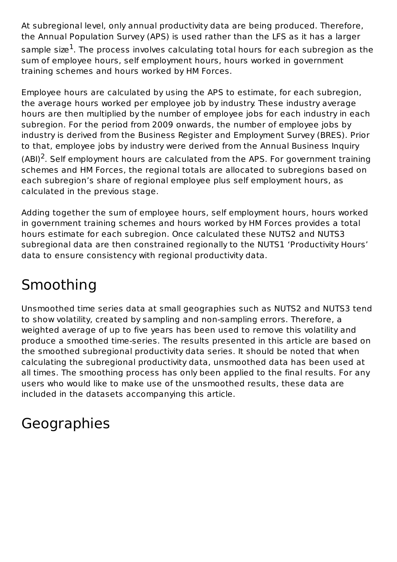At subregional level, only annual productivity data are being produced. Therefore, the Annual Population Survey (APS) is used rather than the LFS as it has a larger sample size $^{\rm 1}$ . The process involves calculating total hours for each subregion as the sum of employee hours, self employment hours, hours worked in government training schemes and hours worked by HM Forces.

Employee hours are calculated by using the APS to estimate, for each subregion, the average hours worked per employee job by industry. These industry average hours are then multiplied by the number of employee jobs for each industry in each subregion. For the period from 2009 onwards, the number of employee jobs by industry is derived from the Business Register and Employment Survey (BRES). Prior to that, employee jobs by industry were derived from the Annual Business Inquiry

(ABI)<sup>2</sup>. Self employment hours are calculated from the APS. For government training schemes and HM Forces, the regional totals are allocated to subregions based on each subregion's share of regional employee plus self employment hours, as calculated in the previous stage.

Adding together the sum of employee hours, self employment hours, hours worked in government training schemes and hours worked by HM Forces provides a total hours estimate for each subregion. Once calculated these NUTS2 and NUTS3 subregional data are then constrained regionally to the NUTS1 'Productivity Hours' data to ensure consistency with regional productivity data.

# Smoothing

Unsmoothed time series data at small geographies such as NUTS2 and NUTS3 tend to show volatility, created by sampling and non-sampling errors. Therefore, a weighted average of up to five years has been used to remove this volatility and produce a smoothed time-series. The results presented in this article are based on the smoothed subregional productivity data series. It should be noted that when calculating the subregional productivity data, unsmoothed data has been used at all times. The smoothing process has only been applied to the final results. For any users who would like to make use of the unsmoothed results, these data are included in the datasets accompanying this article.

# Geographies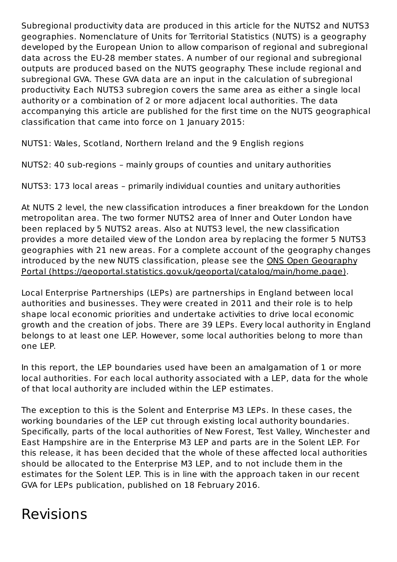Subregional productivity data are produced in this article for the NUTS2 and NUTS3 geographies. Nomenclature of Units for Territorial Statistics (NUTS) is a geography developed by the European Union to allow comparison of regional and subregional data across the EU-28 member states. A number of our regional and subregional outputs are produced based on the NUTS geography. These include regional and subregional GVA. These GVA data are an input in the calculation of subregional productivity. Each NUTS3 subregion covers the same area as either a single local authority or a combination of 2 or more adjacent local authorities. The data accompanying this article are published for the first time on the NUTS geographical classification that came into force on 1 January 2015:

NUTS1: Wales, Scotland, Northern Ireland and the 9 English regions

NUTS2: 40 sub-regions – mainly groups of counties and unitary authorities

NUTS3: 173 local areas – primarily individual counties and unitary authorities

At NUTS 2 level, the new classification introduces a finer breakdown for the London metropolitan area. The two former NUTS2 area of Inner and Outer London have been replaced by 5 NUTS2 areas. Also at NUTS3 level, the new classification provides a more detailed view of the London area by replacing the former 5 NUTS3 geographies with 21 new areas. For a complete account of the geography changes introduced by the new NUTS classification, please see the ONS Open Geography Portal (https://geoportal.statistics.gov.uk/geoportal/catalog/main/home.page).

Local Enterprise Partnerships (LEPs) are partnerships in England between local authorities and businesses. They were created in 2011 and their role is to help shape local economic priorities and undertake activities to drive local economic growth and the creation of jobs. There are 39 LEPs. Every local authority in England belongs to at least one LEP. However, some local authorities belong to more than one LEP.

In this report, the LEP boundaries used have been an amalgamation of 1 or more local authorities. For each local authority associated with a LEP, data for the whole of that local authority are included within the LEP estimates.

The exception to this is the Solent and Enterprise M3 LEPs. In these cases, the working boundaries of the LEP cut through existing local authority boundaries. Specifically, parts of the local authorities of New Forest, Test Valley, Winchester and East Hampshire are in the Enterprise M3 LEP and parts are in the Solent LEP. For this release, it has been decided that the whole of these affected local authorities should be allocated to the Enterprise M3 LEP, and to not include them in the estimates for the Solent LEP. This is in line with the approach taken in our recent GVA for LEPs publication, published on 18 February 2016.

# Revisions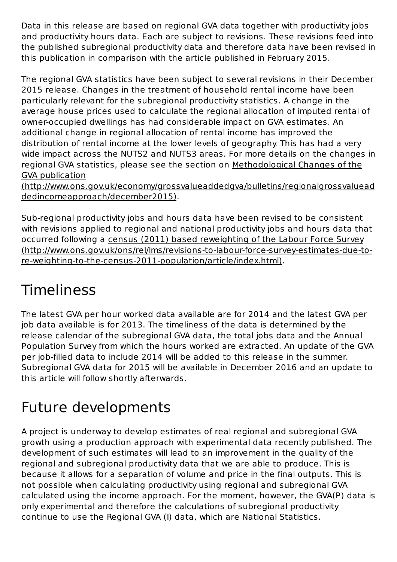Data in this release are based on regional GVA data together with productivity jobs and productivity hours data. Each are subject to revisions. These revisions feed into the published subregional productivity data and therefore data have been revised in this publication in comparison with the article published in February 2015.

The regional GVA statistics have been subject to several revisions in their December 2015 release. Changes in the treatment of household rental income have been particularly relevant for the subregional productivity statistics. A change in the average house prices used to calculate the regional allocation of imputed rental of owner-occupied dwellings has had considerable impact on GVA estimates. An additional change in regional allocation of rental income has improved the distribution of rental income at the lower levels of geography. This has had a very wide impact across the NUTS2 and NUTS3 areas. For more details on the changes in regional GVA statistics, please see the section on Methodological Changes of the GVA publication

(http://www.ons.gov.uk/economy/grossvalueaddedgva/bulletins/regionalgrossvaluead dedincomeapproach/december2015).

Sub-regional productivity jobs and hours data have been revised to be consistent with revisions applied to regional and national productivity jobs and hours data that occurred following a census (2011) based reweighting of the Labour Force Survey (http://www.ons.gov.uk/ons/rel/lms/revisions-to-labour-force-survey-estimates-due-tore-weighting-to-the-census-2011-population/article/index.html).

# Timeliness

The latest GVA per hour worked data available are for 2014 and the latest GVA per job data available is for 2013. The timeliness of the data is determined by the release calendar of the subregional GVA data, the total jobs data and the Annual Population Survey from which the hours worked are extracted. An update of the GVA per job-filled data to include 2014 will be added to this release in the summer. Subregional GVA data for 2015 will be available in December 2016 and an update to this article will follow shortly afterwards.

# Future developments

A project is underway to develop estimates of real regional and subregional GVA growth using a production approach with experimental data recently published. The development of such estimates will lead to an improvement in the quality of the regional and subregional productivity data that we are able to produce. This is because it allows for a separation of volume and price in the final outputs. This is not possible when calculating productivity using regional and subregional GVA calculated using the income approach. For the moment, however, the GVA(P) data is only experimental and therefore the calculations of subregional productivity continue to use the Regional GVA (I) data, which are National Statistics.